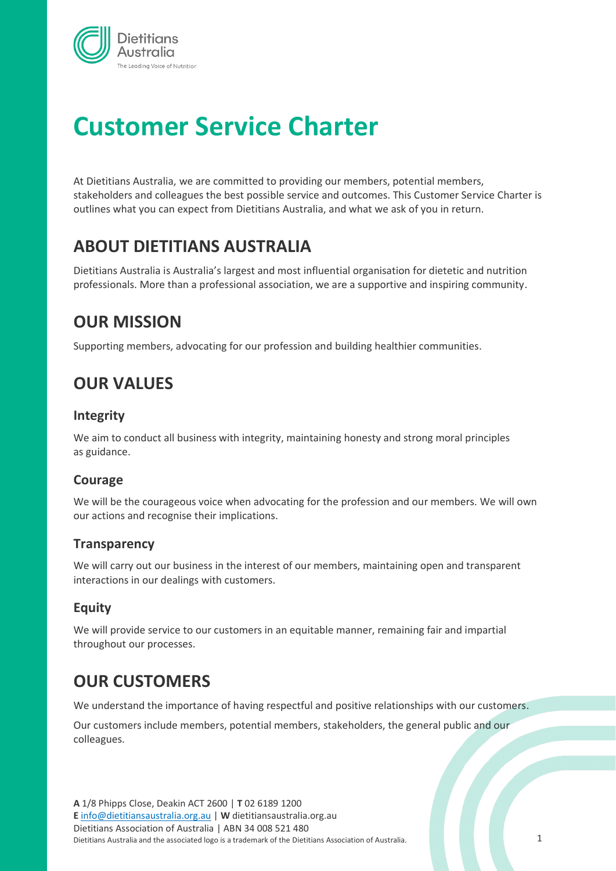

# **Customer Service Charter**

At Dietitians Australia, we are committed to providing our members, potential members, stakeholders and colleagues the best possible service and outcomes. This Customer Service Charter is outlines what you can expect from Dietitians Australia, and what we ask of you in return.

# **ABOUT DIETITIANS AUSTRALIA**

Dietitians Australia is Australia's largest and most influential organisation for dietetic and nutrition professionals. More than a professional association, we are a supportive and inspiring community.

# **OUR MISSION**

Supporting members, advocating for our profession and building healthier communities.

# **OUR VALUES**

### **Integrity**

We aim to conduct all business with integrity, maintaining honesty and strong moral principles as guidance.

### **Courage**

We will be the courageous voice when advocating for the profession and our members. We will own our actions and recognise their implications.

### **Transparency**

We will carry out our business in the interest of our members, maintaining open and transparent interactions in our dealings with customers.

### **Equity**

We will provide service to our customers in an equitable manner, remaining fair and impartial throughout our processes.

# **OUR CUSTOMERS**

We understand the importance of having respectful and positive relationships with our customers.

Our customers include members, potential members, stakeholders, the general public and our colleagues.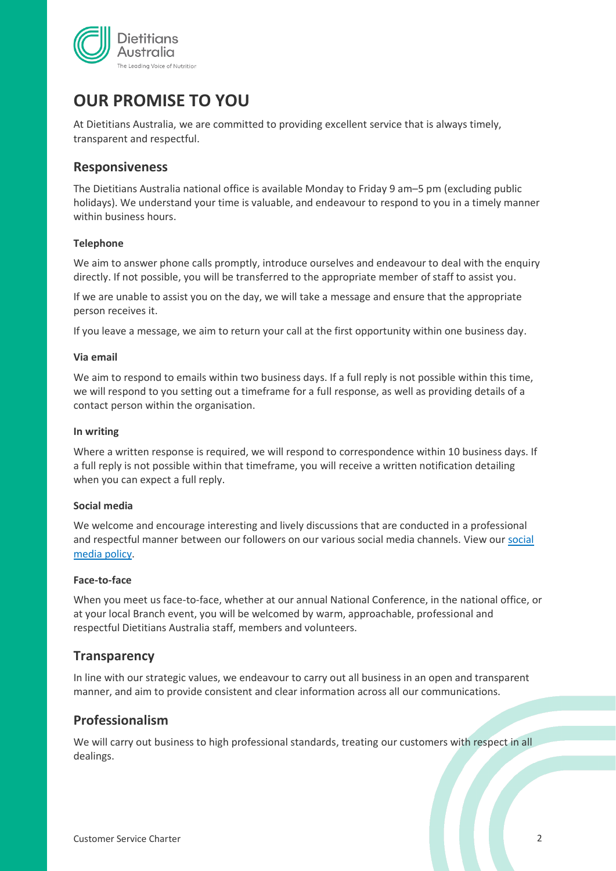

# **OUR PROMISE TO YOU**

At Dietitians Australia, we are committed to providing excellent service that is always timely, transparent and respectful.

### **Responsiveness**

The Dietitians Australia national office is available Monday to Friday 9 am–5 pm (excluding public holidays). We understand your time is valuable, and endeavour to respond to you in a timely manner within business hours.

#### **Telephone**

We aim to answer phone calls promptly, introduce ourselves and endeavour to deal with the enquiry directly. If not possible, you will be transferred to the appropriate member of staff to assist you.

If we are unable to assist you on the day, we will take a message and ensure that the appropriate person receives it.

If you leave a message, we aim to return your call at the first opportunity within one business day.

#### **Via email**

We aim to respond to emails within two business days. If a full reply is not possible within this time, we will respond to you setting out a timeframe for a full response, as well as providing details of a contact person within the organisation.

#### **In writing**

Where a written response is required, we will respond to correspondence within 10 business days. If a full reply is not possible within that timeframe, you will receive a written notification detailing when you can expect a full reply.

#### **Social media**

We welcome and encourage interesting and lively discussions that are conducted in a professional and respectful manner between our followers on our various social media channels. View our [social](https://legacy.dietitiansaustralia.org.au/voice-of-daa/daas-approach-to-social-media/)  [media policy.](https://legacy.dietitiansaustralia.org.au/voice-of-daa/daas-approach-to-social-media/)

#### **Face-to-face**

When you meet us face-to-face, whether at our annual National Conference, in the national office, or at your local Branch event, you will be welcomed by warm, approachable, professional and respectful Dietitians Australia staff, members and volunteers.

#### **Transparency**

In line with our strategic values, we endeavour to carry out all business in an open and transparent manner, and aim to provide consistent and clear information across all our communications.

### **Professionalism**

We will carry out business to high professional standards, treating our customers with respect in all dealings.